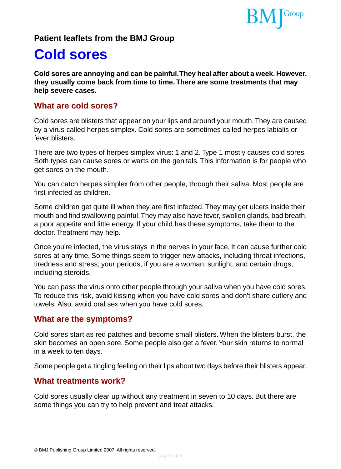

## **Patient leaflets from the BMJ Group**

# **Cold sores**

**Cold sores are annoying and can be painful.They heal after about a week. However, they usually come back from time to time.There are some treatments that may help severe cases.**

## **What are cold sores?**

Cold sores are blisters that appear on your lips and around your mouth.They are caused by a virus called herpes simplex. Cold sores are sometimes called herpes labialis or fever blisters.

There are two types of herpes simplex virus: 1 and 2. Type 1 mostly causes cold sores. Both types can cause sores or warts on the genitals. This information is for people who get sores on the mouth.

You can catch herpes simplex from other people, through their saliva. Most people are first infected as children.

Some children get quite ill when they are first infected. They may get ulcers inside their mouth and find swallowing painful.They may also have fever, swollen glands, bad breath, a poor appetite and little energy. If your child has these symptoms, take them to the doctor. Treatment may help.

Once you're infected, the virus stays in the nerves in your face. It can cause further cold sores at any time. Some things seem to trigger new attacks, including throat infections, tiredness and stress; your periods, if you are a woman; sunlight, and certain drugs, including steroids.

You can pass the virus onto other people through your saliva when you have cold sores. To reduce this risk, avoid kissing when you have cold sores and don't share cutlery and towels. Also, avoid oral sex when you have cold sores.

## **What are the symptoms?**

Cold sores start as red patches and become small blisters. When the blisters burst, the skin becomes an open sore. Some people also get a fever. Your skin returns to normal in a week to ten days.

Some people get a tingling feeling on their lips about two days before their blisters appear.

## **What treatments work?**

Cold sores usually clear up without any treatment in seven to 10 days. But there are some things you can try to help prevent and treat attacks.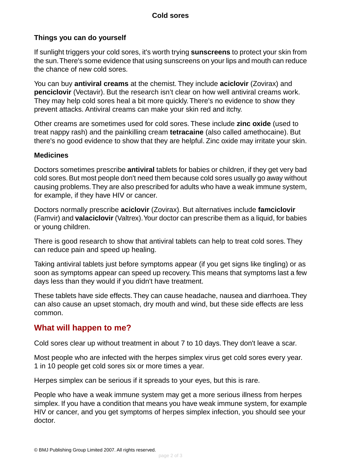#### **Cold sores**

#### **Things you can do yourself**

If sunlight triggers your cold sores, it's worth trying **sunscreens** to protect your skin from the sun.There's some evidence that using sunscreens on your lips and mouth can reduce the chance of new cold sores.

You can buy **antiviral creams** at the chemist. They include **aciclovir** (Zovirax) and **penciclovir** (Vectavir). But the research isn't clear on how well antiviral creams work. They may help cold sores heal a bit more quickly. There's no evidence to show they prevent attacks. Antiviral creams can make your skin red and itchy.

Other creams are sometimes used for cold sores. These include **zinc oxide** (used to treat nappy rash) and the painkilling cream **tetracaine** (also called amethocaine). But there's no good evidence to show that they are helpful. Zinc oxide may irritate your skin.

#### **Medicines**

Doctors sometimes prescribe **antiviral** tablets for babies or children, if they get very bad cold sores. But most people don't need them because cold sores usually go away without causing problems.They are also prescribed for adults who have a weak immune system, for example, if they have HIV or cancer.

Doctors normally prescribe **aciclovir** (Zovirax). But alternatives include **famciclovir** (Famvir) and **valaciclovir** (Valtrex).Your doctor can prescribe them as a liquid, for babies or young children.

There is good research to show that antiviral tablets can help to treat cold sores. They can reduce pain and speed up healing.

Taking antiviral tablets just before symptoms appear (if you get signs like tingling) or as soon as symptoms appear can speed up recovery.This means that symptoms last a few days less than they would if you didn't have treatment.

These tablets have side effects.They can cause headache, nausea and diarrhoea.They can also cause an upset stomach, dry mouth and wind, but these side effects are less common.

## **What will happen to me?**

Cold sores clear up without treatment in about 7 to 10 days. They don't leave a scar.

Most people who are infected with the herpes simplex virus get cold sores every year. 1 in 10 people get cold sores six or more times a year.

Herpes simplex can be serious if it spreads to your eyes, but this is rare.

People who have a weak immune system may get a more serious illness from herpes simplex. If you have a condition that means you have weak immune system, for example HIV or cancer, and you get symptoms of herpes simplex infection, you should see your doctor.